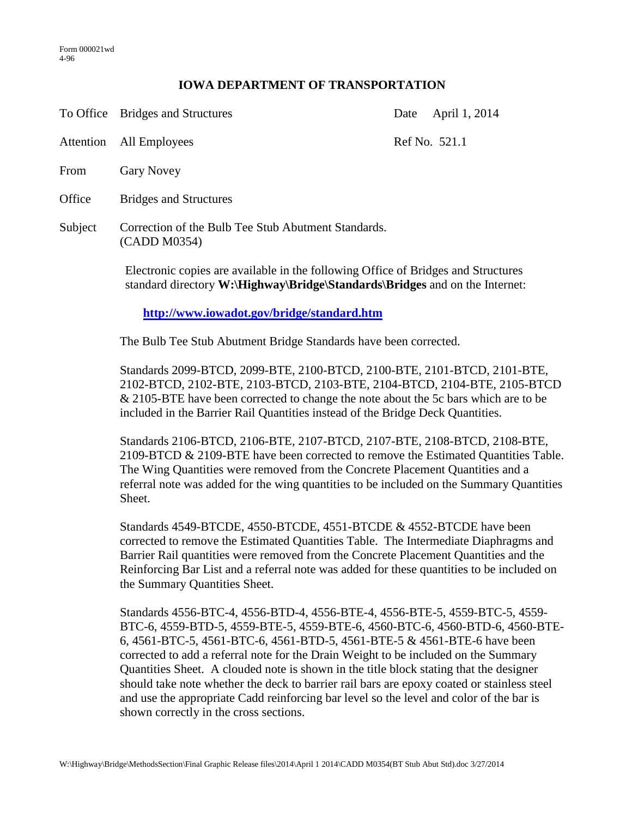## **IOWA DEPARTMENT OF TRANSPORTATION**

|         | To Office Bridges and Structures                                    | Date | April 1, 2014 |
|---------|---------------------------------------------------------------------|------|---------------|
|         | Attention All Employees                                             |      | Ref No. 521.1 |
| From    | <b>Gary Novey</b>                                                   |      |               |
| Office  | <b>Bridges and Structures</b>                                       |      |               |
| Subject | Correction of the Bulb Tee Stub Abutment Standards.<br>(CADD M0354) |      |               |

Electronic copies are available in the following Office of Bridges and Structures standard directory **W:\Highway\Bridge\Standards\Bridges** and on the Internet:

**<http://www.iowadot.gov/bridge/standard.htm>**

The Bulb Tee Stub Abutment Bridge Standards have been corrected.

Standards 2099-BTCD, 2099-BTE, 2100-BTCD, 2100-BTE, 2101-BTCD, 2101-BTE, 2102-BTCD, 2102-BTE, 2103-BTCD, 2103-BTE, 2104-BTCD, 2104-BTE, 2105-BTCD & 2105-BTE have been corrected to change the note about the 5c bars which are to be included in the Barrier Rail Quantities instead of the Bridge Deck Quantities.

Standards 2106-BTCD, 2106-BTE, 2107-BTCD, 2107-BTE, 2108-BTCD, 2108-BTE, 2109-BTCD & 2109-BTE have been corrected to remove the Estimated Quantities Table. The Wing Quantities were removed from the Concrete Placement Quantities and a referral note was added for the wing quantities to be included on the Summary Quantities Sheet.

Standards 4549-BTCDE, 4550-BTCDE, 4551-BTCDE & 4552-BTCDE have been corrected to remove the Estimated Quantities Table. The Intermediate Diaphragms and Barrier Rail quantities were removed from the Concrete Placement Quantities and the Reinforcing Bar List and a referral note was added for these quantities to be included on the Summary Quantities Sheet.

Standards 4556-BTC-4, 4556-BTD-4, 4556-BTE-4, 4556-BTE-5, 4559-BTC-5, 4559- BTC-6, 4559-BTD-5, 4559-BTE-5, 4559-BTE-6, 4560-BTC-6, 4560-BTD-6, 4560-BTE-6, 4561-BTC-5, 4561-BTC-6, 4561-BTD-5, 4561-BTE-5 & 4561-BTE-6 have been corrected to add a referral note for the Drain Weight to be included on the Summary Quantities Sheet. A clouded note is shown in the title block stating that the designer should take note whether the deck to barrier rail bars are epoxy coated or stainless steel and use the appropriate Cadd reinforcing bar level so the level and color of the bar is shown correctly in the cross sections.